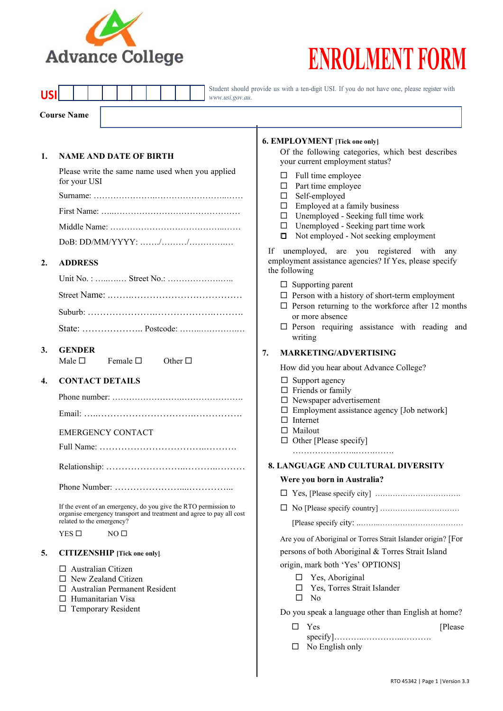

# **ENROLMENT FORM**

|                    |                                                                                                                                                                                 |                 |                                                                                                                                                         |  |                  |  |                                      |                 | www.usi.gov.au.                                                                                                                         |                                                                                                                                                                                                                                                                                                                                                                                                                                                          | Student should provide us with a ten-digit USI. If you do not have one, please register with                                                                                                                                                                                                                           |  |  |
|--------------------|---------------------------------------------------------------------------------------------------------------------------------------------------------------------------------|-----------------|---------------------------------------------------------------------------------------------------------------------------------------------------------|--|------------------|--|--------------------------------------|-----------------|-----------------------------------------------------------------------------------------------------------------------------------------|----------------------------------------------------------------------------------------------------------------------------------------------------------------------------------------------------------------------------------------------------------------------------------------------------------------------------------------------------------------------------------------------------------------------------------------------------------|------------------------------------------------------------------------------------------------------------------------------------------------------------------------------------------------------------------------------------------------------------------------------------------------------------------------|--|--|
| <b>Course Name</b> |                                                                                                                                                                                 |                 |                                                                                                                                                         |  |                  |  |                                      |                 |                                                                                                                                         |                                                                                                                                                                                                                                                                                                                                                                                                                                                          |                                                                                                                                                                                                                                                                                                                        |  |  |
| 1.                 | <b>NAME AND DATE OF BIRTH</b><br>Please write the same name used when you applied<br>for your USI<br>$DoB: DD/MM/YYYY: \ldots \ldots \ldots \ldots \ldots \ldots \ldots \ldots$ |                 |                                                                                                                                                         |  |                  |  |                                      |                 |                                                                                                                                         | 6. EMPLOYMENT [Tick one only].<br>Of the following categories, which best describes<br>your current employment status?<br>Full time employee<br>ш<br>Part time employee<br>ш<br>Self-employed<br>$\Box$<br>Employed at a family business<br>$\Box$<br>$\Box$ Unemployed - Seeking full time work<br>Unemployed - Seeking part time work<br>$\Box$<br>Not employed - Not seeking employment<br>$\Box$<br>unemployed, are you registered with<br>If<br>any |                                                                                                                                                                                                                                                                                                                        |  |  |
| 2.                 |                                                                                                                                                                                 |                 | <b>ADDRESS</b>                                                                                                                                          |  |                  |  |                                      |                 |                                                                                                                                         |                                                                                                                                                                                                                                                                                                                                                                                                                                                          | employment assistance agencies? If Yes, please specify<br>the following<br>$\Box$ Supporting parent<br>$\square$ Person with a history of short-term employment<br>$\square$ Person returning to the workforce after 12 months<br>or more absence<br>$\square$ Person requiring assistance with reading and<br>writing |  |  |
| 3.                 |                                                                                                                                                                                 | Male $\square$  | <b>GENDER</b>                                                                                                                                           |  | Female $\square$ |  |                                      | Other $\square$ |                                                                                                                                         | 7.                                                                                                                                                                                                                                                                                                                                                                                                                                                       | <b>MARKETING/ADVERTISING</b>                                                                                                                                                                                                                                                                                           |  |  |
| 4.                 |                                                                                                                                                                                 |                 | <b>CONTACT DETAILS</b><br><b>EMERGENCY CONTACT</b>                                                                                                      |  |                  |  |                                      |                 |                                                                                                                                         |                                                                                                                                                                                                                                                                                                                                                                                                                                                          | How did you hear about Advance College?<br>$\Box$ Support agency<br>$\Box$ Friends or family<br>$\Box$ Newspaper advertisement<br>$\Box$ Employment assistance agency [Job network]<br>$\Box$ Internet<br>$\Box$ Mailout<br>$\Box$ Other [Please specify]                                                              |  |  |
|                    |                                                                                                                                                                                 | $YES$ $\square$ | related to the emergency?                                                                                                                               |  | NO <sub>1</sub>  |  |                                      |                 | If the event of an emergency, do you give the RTO permission to<br>organise emergency transport and treatment and agree to pay all cost |                                                                                                                                                                                                                                                                                                                                                                                                                                                          | <b>8. LANGUAGE AND CULTURAL DIVERSITY</b><br>Were you born in Australia?<br>⊔<br>Are you of Aboriginal or Torres Strait Islander origin? [For                                                                                                                                                                          |  |  |
| 5.                 |                                                                                                                                                                                 |                 | <b>CITIZENSHIP</b> [Tick one only].<br>$\Box$ Australian Citizen<br>$\Box$ New Zealand Citizen<br>$\Box$ Humanitarian Visa<br>$\Box$ Temporary Resident |  |                  |  | $\Box$ Australian Permanent Resident |                 |                                                                                                                                         |                                                                                                                                                                                                                                                                                                                                                                                                                                                          | persons of both Aboriginal & Torres Strait Island<br>origin, mark both 'Yes' OPTIONS]<br>$\Box$ Yes, Aboriginal<br>□ Yes, Torres Strait Islander<br>□<br>No<br>Do you speak a language other than English at home?                                                                                                     |  |  |

Do you speak a language other than English at home?

| $\Box$ | Yes | Please |
|--------|-----|--------|
|        |     |        |

No English only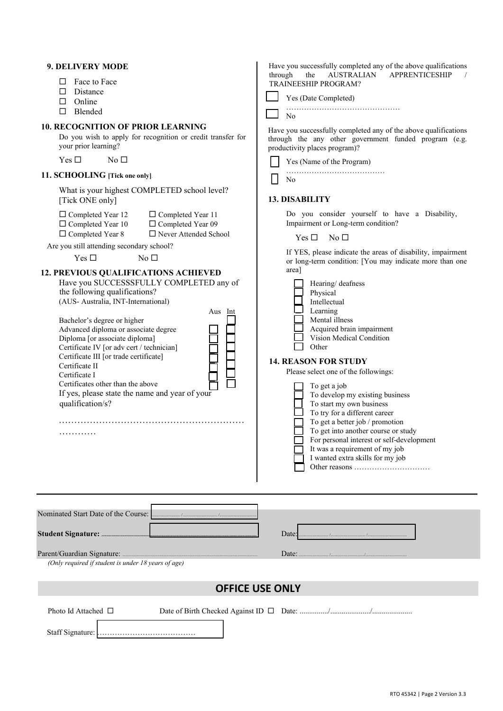| 9. DELIVERY MODE<br>Face to Face<br>□<br>$\Box$ Distance<br>$\Box$ Online<br>Blended<br>$\Box$                                                                                                                                                                                                                                                                                                                                                                                                                                                                                                                                                                                                                                                                           | Have you successfully completed any of the above qualifications<br><b>APPRENTICESHIP</b><br>through<br>the<br><b>AUSTRALIAN</b><br>TRAINEESHIP PROGRAM?<br>Yes (Date Completed)<br>N <sub>o</sub>                                                                                                                                                                                                                                                                                                                                                                                                                                                                                                                                        |
|--------------------------------------------------------------------------------------------------------------------------------------------------------------------------------------------------------------------------------------------------------------------------------------------------------------------------------------------------------------------------------------------------------------------------------------------------------------------------------------------------------------------------------------------------------------------------------------------------------------------------------------------------------------------------------------------------------------------------------------------------------------------------|------------------------------------------------------------------------------------------------------------------------------------------------------------------------------------------------------------------------------------------------------------------------------------------------------------------------------------------------------------------------------------------------------------------------------------------------------------------------------------------------------------------------------------------------------------------------------------------------------------------------------------------------------------------------------------------------------------------------------------------|
| <b>10. RECOGNITION OF PRIOR LEARNING</b><br>Do you wish to apply for recognition or credit transfer for<br>your prior learning?<br>Yes $\square$<br>No <sub>1</sub><br>11. SCHOOLING [Tick one only].<br>What is your highest COMPLETED school level?<br>[Tick ONE only]                                                                                                                                                                                                                                                                                                                                                                                                                                                                                                 | Have you successfully completed any of the above qualifications<br>through the any other government funded program (e.g.<br>productivity places program)?<br>Yes (Name of the Program)<br>No<br><b>13. DISABILITY</b><br>Do you consider yourself to have a Disability,                                                                                                                                                                                                                                                                                                                                                                                                                                                                  |
| $\Box$ Completed Year 12<br>$\Box$ Completed Year 11<br>$\Box$ Completed Year 10<br>$\Box$ Completed Year 09<br>$\Box$ Never Attended School<br>□ Completed Year 8<br>Are you still attending secondary school?<br>Yes $\Box$<br>No <sub>1</sub><br>12. PREVIOUS QUALIFICATIONS ACHIEVED<br>Have you SUCCESSSFULLY COMPLETED any of<br>the following qualifications?<br>(AUS-Australia, INT-International)<br>Aus Int<br>Bachelor's degree or higher<br>Advanced diploma or associate degree<br>Diploma [or associate diploma]<br>Certificate IV [or adv cert / technician]<br>Certificate III [or trade certificate]<br>Certificate II<br>Certificate I<br>Certificates other than the above<br>If yes, please state the name and year of your<br>qualification/s?<br>. | Impairment or Long-term condition?<br>No $\Box$<br>Yes $\square$<br>If YES, please indicate the areas of disability, impairment<br>or long-term condition: [You may indicate more than one<br>area]<br>Hearing/ deafness<br>Physical<br>Intellectual<br>Learning<br>Mental illness<br>Acquired brain impairment<br>Vision Medical Condition<br>Other<br><b>14. REASON FOR STUDY</b><br>Please select one of the followings:<br>To get a job<br>To develop my existing business<br>To start my own business<br>To try for a different career<br>To get a better job / promotion<br>To get into another course or study<br>For personal interest or self-development<br>It was a requirement of my job<br>I wanted extra skills for my job |
| (Only required if student is under 18 years of age)                                                                                                                                                                                                                                                                                                                                                                                                                                                                                                                                                                                                                                                                                                                      | Date:<br>Date: $\frac{1}{2}$                                                                                                                                                                                                                                                                                                                                                                                                                                                                                                                                                                                                                                                                                                             |
|                                                                                                                                                                                                                                                                                                                                                                                                                                                                                                                                                                                                                                                                                                                                                                          | <b>OFFICE USE ONLY</b>                                                                                                                                                                                                                                                                                                                                                                                                                                                                                                                                                                                                                                                                                                                   |
| Photo Id Attached $\Box$                                                                                                                                                                                                                                                                                                                                                                                                                                                                                                                                                                                                                                                                                                                                                 |                                                                                                                                                                                                                                                                                                                                                                                                                                                                                                                                                                                                                                                                                                                                          |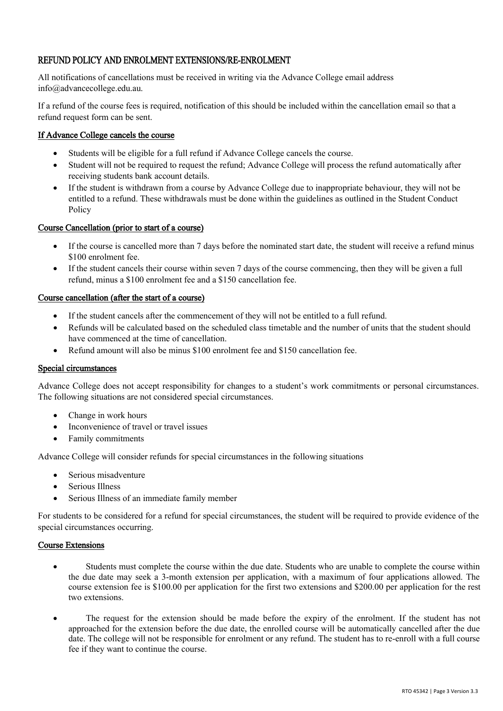#### REFUND POLICY AND ENROLMENT EXTENSIONS/RE-ENROLMENT

All notifications of cancellations must be received in writing via the Advance College email address info@advancecollege.edu.au.

If a refund of the course fees is required, notification of this should be included within the cancellation email so that a refund request form can be sent.

#### If Advance College cancels the course

- Students will be eligible for a full refund if Advance College cancels the course.
- Student will not be required to request the refund; Advance College will process the refund automatically after receiving students bank account details.
- If the student is withdrawn from a course by Advance College due to inappropriate behaviour, they will not be entitled to a refund. These withdrawals must be done within the guidelines as outlined in the Student Conduct Policy

#### Course Cancellation (prior to start of a course)

- If the course is cancelled more than 7 days before the nominated start date, the student will receive a refund minus \$100 enrolment fee.
- If the student cancels their course within seven 7 days of the course commencing, then they will be given a full refund, minus a \$100 enrolment fee and a \$150 cancellation fee.

#### Course cancellation (after the start of a course)

- If the student cancels after the commencement of they will not be entitled to a full refund.
- Refunds will be calculated based on the scheduled class timetable and the number of units that the student should have commenced at the time of cancellation.
- Refund amount will also be minus \$100 enrolment fee and \$150 cancellation fee.

#### Special circumstances

Advance College does not accept responsibility for changes to a student's work commitments or personal circumstances. The following situations are not considered special circumstances.

- Change in work hours
- Inconvenience of travel or travel issues
- Family commitments

Advance College will consider refunds for special circumstances in the following situations

- Serious misadventure
- Serious Illness
- Serious Illness of an immediate family member

For students to be considered for a refund for special circumstances, the student will be required to provide evidence of the special circumstances occurring.

#### Course Extensions

- Students must complete the course within the due date. Students who are unable to complete the course within the due date may seek a 3-month extension per application, with a maximum of four applications allowed. The course extension fee is \$100.00 per application for the first two extensions and \$200.00 per application for the rest two extensions.
- The request for the extension should be made before the expiry of the enrolment. If the student has not approached for the extension before the due date, the enrolled course will be automatically cancelled after the due date. The college will not be responsible for enrolment or any refund. The student has to re-enroll with a full course fee if they want to continue the course.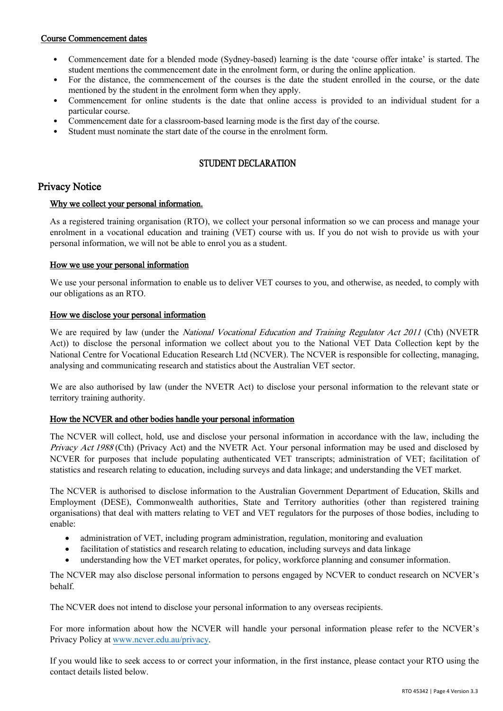#### Course Commencement dates

- Commencement date for a blended mode (Sydney-based) learning is the date 'course offer intake' is started. The student mentions the commencement date in the enrolment form, or during the online application.
- For the distance, the commencement of the courses is the date the student enrolled in the course, or the date mentioned by the student in the enrolment form when they apply.
- Commencement for online students is the date that online access is provided to an individual student for a particular course.
- Commencement date for a classroom-based learning mode is the first day of the course.
- Student must nominate the start date of the course in the enrolment form.

#### STUDENT DECLARATION

#### Privacy Notice

#### Why we collect your personal information.

As a registered training organisation (RTO), we collect your personal information so we can process and manage your enrolment in a vocational education and training (VET) course with us. If you do not wish to provide us with your personal information, we will not be able to enrol you as a student.

#### How we use your personal information

We use your personal information to enable us to deliver VET courses to you, and otherwise, as needed, to comply with our obligations as an RTO.

#### How we disclose your personal information

We are required by law (under the *National Vocational Education and Training Regulator Act 2011* (Cth) (NVETR Act)) to disclose the personal information we collect about you to the National VET Data Collection kept by the National Centre for Vocational Education Research Ltd (NCVER). The NCVER is responsible for collecting, managing, analysing and communicating research and statistics about the Australian VET sector.

We are also authorised by law (under the NVETR Act) to disclose your personal information to the relevant state or territory training authority.

#### How the NCVER and other bodies handle your personal information

The NCVER will collect, hold, use and disclose your personal information in accordance with the law, including the Privacy Act 1988 (Cth) (Privacy Act) and the NVETR Act. Your personal information may be used and disclosed by NCVER for purposes that include populating authenticated VET transcripts; administration of VET; facilitation of statistics and research relating to education, including surveys and data linkage; and understanding the VET market.

The NCVER is authorised to disclose information to the Australian Government Department of Education, Skills and Employment (DESE), Commonwealth authorities, State and Territory authorities (other than registered training organisations) that deal with matters relating to VET and VET regulators for the purposes of those bodies, including to enable:

- administration of VET, including program administration, regulation, monitoring and evaluation
- facilitation of statistics and research relating to education, including surveys and data linkage
- understanding how the VET market operates, for policy, workforce planning and consumer information.

The NCVER may also disclose personal information to persons engaged by NCVER to conduct research on NCVER's behalf.

The NCVER does not intend to disclose your personal information to any overseas recipients.

For more information about how the NCVER will handle your personal information please refer to the NCVER's Privacy Policy at www.ncver.edu.au/privacy.

If you would like to seek access to or correct your information, in the first instance, please contact your RTO using the contact details listed below.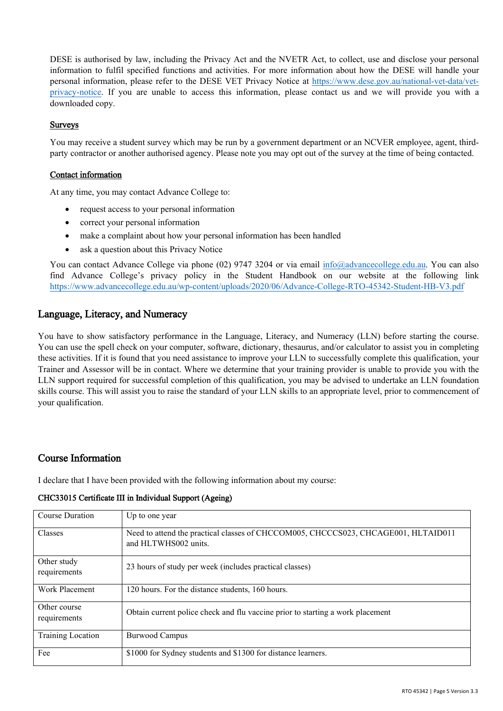DESE is authorised by law, including the Privacy Act and the NVETR Act, to collect, use and disclose your personal information to fulfil specified functions and activities. For more information about how the DESE will handle your personal information, please refer to the DESE VET Privacy Notice at https://www.dese.gov.au/national-vet-data/vetprivacy-notice. If you are unable to access this information, please contact us and we will provide you with a downloaded copy.

#### Surveys

You may receive a student survey which may be run by a government department or an NCVER employee, agent, thirdparty contractor or another authorised agency. Please note you may opt out of the survey at the time of being contacted.

#### Contact information

At any time, you may contact Advance College to:

- request access to your personal information
- correct your personal information
- make a complaint about how your personal information has been handled
- ask a question about this Privacy Notice

You can contact Advance College via phone (02) 9747 3204 or via email info@advancecollege.edu.au. You can also find Advance College's privacy policy in the Student Handbook on our website at the following link https://www.advancecollege.edu.au/wp-content/uploads/2020/06/Advance-College-RTO-45342-Student-HB-V3.pdf

#### Language, Literacy, and Numeracy

You have to show satisfactory performance in the Language, Literacy, and Numeracy (LLN) before starting the course. You can use the spell check on your computer, software, dictionary, thesaurus, and/or calculator to assist you in completing these activities. If it is found that you need assistance to improve your LLN to successfully complete this qualification, your Trainer and Assessor will be in contact. Where we determine that your training provider is unable to provide you with the LLN support required for successful completion of this qualification, you may be advised to undertake an LLN foundation skills course. This will assist you to raise the standard of your LLN skills to an appropriate level, prior to commencement of your qualification.

#### Course Information

I declare that I have been provided with the following information about my course:

| Course Duration              | Up to one year                                                                                             |
|------------------------------|------------------------------------------------------------------------------------------------------------|
| <b>Classes</b>               | Need to attend the practical classes of CHCCOM005, CHCCCS023, CHCAGE001, HLTAID011<br>and HLTWHS002 units. |
| Other study<br>requirements  | 23 hours of study per week (includes practical classes)                                                    |
| Work Placement               | 120 hours. For the distance students, 160 hours.                                                           |
| Other course<br>requirements | Obtain current police check and flu vaccine prior to starting a work placement                             |
| <b>Training Location</b>     | <b>Burwood Campus</b>                                                                                      |
| Fee                          | \$1000 for Sydney students and \$1300 for distance learners.                                               |

#### CHC33015 Certificate III in Individual Support (Ageing)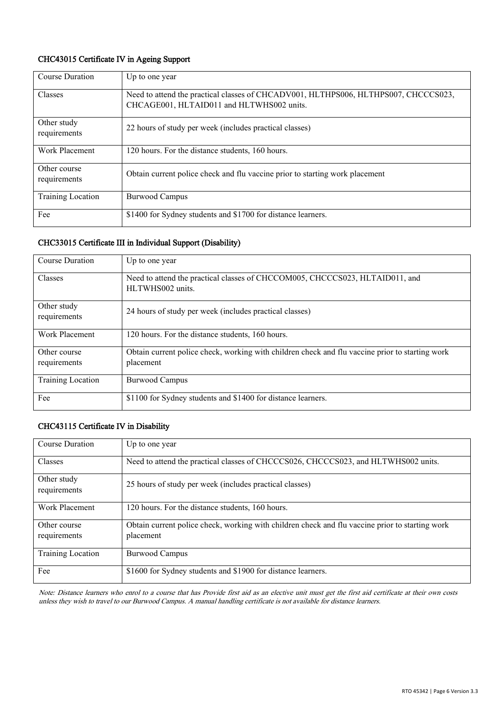#### CHC43015 Certificate IV in Ageing Support

| <b>Course Duration</b>       | Up to one year                                                                                                                   |
|------------------------------|----------------------------------------------------------------------------------------------------------------------------------|
| Classes                      | Need to attend the practical classes of CHCADV001, HLTHPS006, HLTHPS007, CHCCCS023,<br>CHCAGE001, HLTAID011 and HLTWHS002 units. |
| Other study<br>requirements  | 22 hours of study per week (includes practical classes)                                                                          |
| Work Placement               | 120 hours. For the distance students, 160 hours.                                                                                 |
| Other course<br>requirements | Obtain current police check and flu vaccine prior to starting work placement                                                     |
| <b>Training Location</b>     | <b>Burwood Campus</b>                                                                                                            |
| Fee                          | \$1400 for Sydney students and \$1700 for distance learners.                                                                     |

#### CHC33015 Certificate III in Individual Support (Disability)

| <b>Course Duration</b>       | Up to one year                                                                                               |
|------------------------------|--------------------------------------------------------------------------------------------------------------|
| <b>Classes</b>               | Need to attend the practical classes of CHCCOM005, CHCCCS023, HLTAID011, and<br>HLTWHS002 units.             |
| Other study<br>requirements  | 24 hours of study per week (includes practical classes)                                                      |
| Work Placement               | 120 hours. For the distance students, 160 hours.                                                             |
| Other course<br>requirements | Obtain current police check, working with children check and flu vaccine prior to starting work<br>placement |
| <b>Training Location</b>     | <b>Burwood Campus</b>                                                                                        |
| Fee                          | \$1100 for Sydney students and \$1400 for distance learners.                                                 |

#### CHC43115 Certificate IV in Disability

| <b>Course Duration</b>       | Up to one year                                                                                               |
|------------------------------|--------------------------------------------------------------------------------------------------------------|
| Classes                      | Need to attend the practical classes of CHCCCS026, CHCCCS023, and HLTWHS002 units.                           |
| Other study<br>requirements  | 25 hours of study per week (includes practical classes)                                                      |
| Work Placement               | 120 hours. For the distance students, 160 hours.                                                             |
| Other course<br>requirements | Obtain current police check, working with children check and flu vaccine prior to starting work<br>placement |
| Training Location            | <b>Burwood Campus</b>                                                                                        |
| Fee                          | \$1600 for Sydney students and \$1900 for distance learners.                                                 |

Note: Distance learners who enrol to a course that has Provide first aid as an elective unit must get the first aid certificate at their own costs unless they wish to travel to our Burwood Campus. A manual handling certificate is not available for distance learners.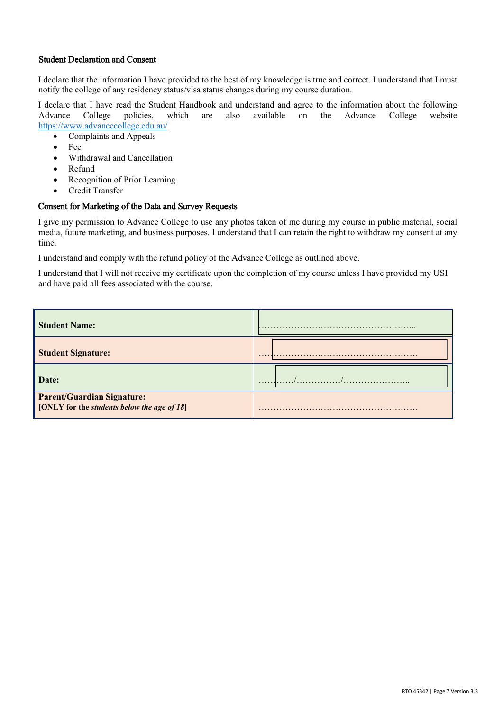#### Student Declaration and Consent

I declare that the information I have provided to the best of my knowledge is true and correct. I understand that I must notify the college of any residency status/visa status changes during my course duration.

I declare that I have read the Student Handbook and understand and agree to the information about the following<br>Advance College policies, which are also available on the Advance College website Advance College policies, which are also available on the Advance College website https://www.advancecollege.edu.au/

- Complaints and Appeals
- Fee
- Withdrawal and Cancellation
- Refund
- Recognition of Prior Learning
- Credit Transfer

#### Consent for Marketing of the Data and Survey Requests

I give my permission to Advance College to use any photos taken of me during my course in public material, social media, future marketing, and business purposes. I understand that I can retain the right to withdraw my consent at any time.

I understand and comply with the refund policy of the Advance College as outlined above.

I understand that I will not receive my certificate upon the completion of my course unless I have provided my USI and have paid all fees associated with the course.

| <b>Student Name:</b>                                                             | .        |
|----------------------------------------------------------------------------------|----------|
| <b>Student Signature:</b>                                                        | $\cdots$ |
| Date:                                                                            | .<br>.   |
| <b>Parent/Guardian Signature:</b><br>[ONLY for the students below the age of 18] | .        |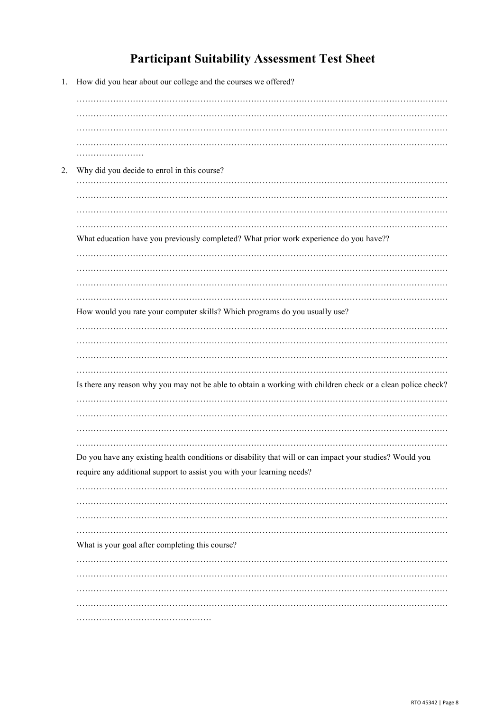# **Participant Suitability Assessment Test Sheet**

1. How did you hear about our college and the courses we offered?

| 2. | Why did you decide to enrol in this course?                                                                  |
|----|--------------------------------------------------------------------------------------------------------------|
|    |                                                                                                              |
|    |                                                                                                              |
|    |                                                                                                              |
|    | What education have you previously completed? What prior work experience do you have??                       |
|    |                                                                                                              |
|    |                                                                                                              |
|    |                                                                                                              |
|    |                                                                                                              |
|    | How would you rate your computer skills? Which programs do you usually use?                                  |
|    |                                                                                                              |
|    |                                                                                                              |
|    |                                                                                                              |
|    |                                                                                                              |
|    | Is there any reason why you may not be able to obtain a working with children check or a clean police check? |
|    |                                                                                                              |
|    |                                                                                                              |
|    |                                                                                                              |
|    |                                                                                                              |
|    | Do you have any existing health conditions or disability that will or can impact your studies? Would you     |
|    | require any additional support to assist you with your learning needs?                                       |
|    |                                                                                                              |
|    |                                                                                                              |
|    |                                                                                                              |
|    |                                                                                                              |
|    | What is your goal after completing this course?                                                              |
|    |                                                                                                              |
|    |                                                                                                              |
|    |                                                                                                              |
|    |                                                                                                              |
|    |                                                                                                              |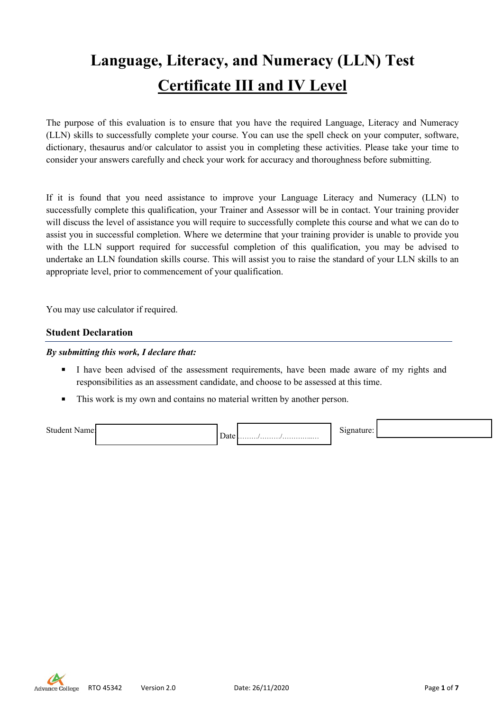# **Language, Literacy, and Numeracy (LLN) Test Certificate III and IV Level**

The purpose of this evaluation is to ensure that you have the required Language, Literacy and Numeracy (LLN) skills to successfully complete your course. You can use the spell check on your computer, software, dictionary, thesaurus and/or calculator to assist you in completing these activities. Please take your time to consider your answers carefully and check your work for accuracy and thoroughness before submitting.

If it is found that you need assistance to improve your Language Literacy and Numeracy (LLN) to successfully complete this qualification, your Trainer and Assessor will be in contact. Your training provider will discuss the level of assistance you will require to successfully complete this course and what we can do to assist you in successful completion. Where we determine that your training provider is unable to provide you with the LLN support required for successful completion of this qualification, you may be advised to undertake an LLN foundation skills course. This will assist you to raise the standard of your LLN skills to an appropriate level, prior to commencement of your qualification.

You may use calculator if required.

#### **Student Declaration**

#### *By submitting this work, I declare that:*

- I have been advised of the assessment requirements, have been made aware of my rights and responsibilities as an assessment candidate, and choose to be assessed at this time.
- This work is my own and contains no material written by another person.

Student Name: Date ………/………/…………..…

Signature:

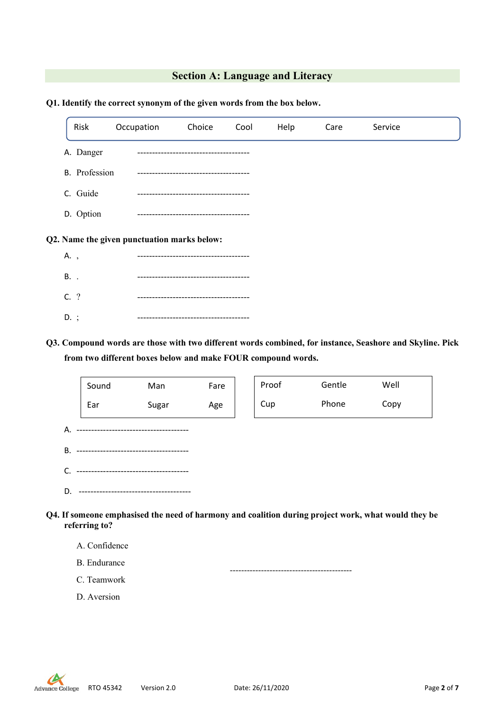#### **Section A: Language and Literacy**

| Risk                                        |                      | Occupation | Choice | Cool | Help | Care | Service |  |
|---------------------------------------------|----------------------|------------|--------|------|------|------|---------|--|
|                                             | A. Danger            |            |        |      |      |      |         |  |
|                                             | <b>B.</b> Profession |            |        |      |      |      |         |  |
| C. Guide                                    |                      |            |        |      |      |      |         |  |
| D. Option                                   |                      |            |        |      |      |      |         |  |
| Q2. Name the given punctuation marks below: |                      |            |        |      |      |      |         |  |
| A.,                                         |                      |            |        |      |      |      |         |  |
| B. .                                        |                      |            |        |      |      |      |         |  |
| C. ?                                        |                      |            |        |      |      |      |         |  |

#### **Q1. Identify the correct synonym of the given words from the box below.**

D. ; --------------------------------------

**Q3. Compound words are those with two different words combined, for instance, Seashore and Skyline. Pick from two different boxes below and make FOUR compound words.**



**referring to?**

A. Confidence

B. Endurance C. Teamwork

-------------------------------------------

D. Aversion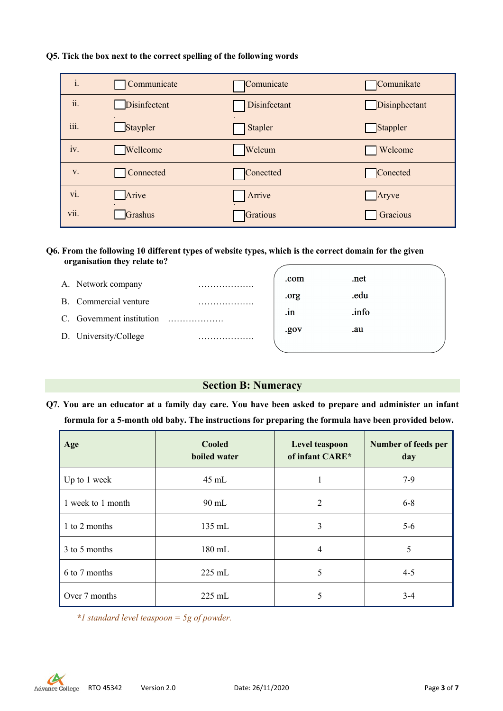#### **Q5. Tick the box next to the correct spelling of the following words**

| $\mathbf{i}$ .   | Communicate  | Comunicate   | Comunikate    |
|------------------|--------------|--------------|---------------|
| ii.              | Disinfectent | Disinfectant | Disinphectant |
| $\cdots$<br>111. | Staypler     | Stapler      | Stappler      |
| iv.              | Wellcome     | Welcum       | Welcome       |
| V.               | Connected    | Conectted    | Conected      |
| vi.              | Arive        | Arrive       | Aryve         |
| vii.             | Grashus      | Gratious     | Gracious      |

#### **Q6. From the following 10 different types of website types, which is the correct domain for the given organisation they relate to?**

| A. Network company        | .com         | .net  |  |
|---------------------------|--------------|-------|--|
| B. Commercial venture     | .org         | .edu  |  |
| C. Government institution | $\mathbf{m}$ | .info |  |
|                           | .gov         | .au   |  |
| D. University/College     |              |       |  |

#### **Section B: Numeracy**

**Q7. You are an educator at a family day care. You have been asked to prepare and administer an infant formula for a 5-month old baby. The instructions for preparing the formula have been provided below.**

| Age               | <b>Cooled</b><br>boiled water | Level teaspoon<br>of infant CARE* | Number of feeds per<br>day |
|-------------------|-------------------------------|-----------------------------------|----------------------------|
| Up to 1 week      | $45$ mL                       | 1                                 | $7-9$                      |
| 1 week to 1 month | $90$ mL                       | 2                                 | $6 - 8$                    |
| 1 to 2 months     | $135$ mL                      | 3                                 | $5 - 6$                    |
| 3 to 5 months     | 180 mL                        | 4                                 | 5                          |
| 6 to 7 months     | $225 \text{ mL}$              | 5                                 | $4 - 5$                    |
| Over 7 months     | $225$ mL                      | 5                                 | $3 - 4$                    |

*\*1 standard level teaspoon = 5g of powder.*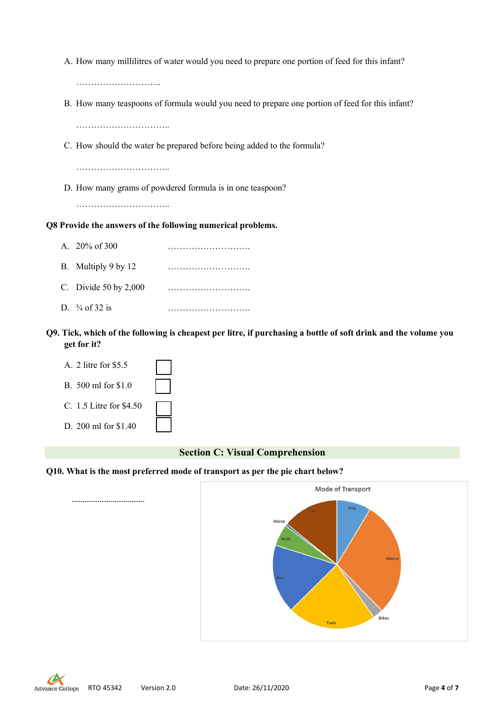A. How many millilitres of water would you need to prepare one portion of feed for this infant?

……………………………

B. How many teaspoons of formula would you need to prepare one portion of feed for this infant?

…………………………..

C. How should the water be prepared before being added to the formula?

…………………………………

D. How many grams of powdered formula is in one teaspoon?

………………………………

#### **Q8 Provide the answers of the following numerical problems.**

| A. $20\%$ of 300          | . |
|---------------------------|---|
| B. Multiply 9 by 12       |   |
| C. Divide $50$ by $2,000$ |   |
| D. $\frac{3}{4}$ of 32 is |   |

**Q9. Tick, which of the following is cheapest per litre, if purchasing a bottle of soft drink and the volume you get for it?** 

| A. 2 litre for \$5.5    |  |
|-------------------------|--|
| B. 500 ml for \$1.0     |  |
| C. 1.5 Litre for \$4.50 |  |
| D. 200 ml for \$1.40    |  |

……………………………

#### **Section C: Visual Comprehension**

#### **Q10. What is the most preferred mode of transport as per the pie chart below?**



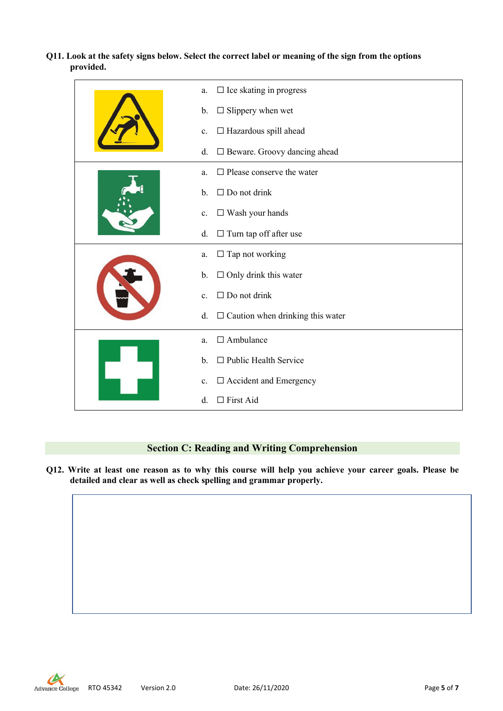**Q11. Look at the safety signs below. Select the correct label or meaning of the sign from the options provided.**

| $\square$ Ice skating in progress<br>a.        |
|------------------------------------------------|
| $\Box$ Slippery when wet<br>b.                 |
| $\Box$ Hazardous spill ahead<br>c.             |
| □ Beware. Groovy dancing ahead<br>d.           |
| $\Box$ Please conserve the water<br>a.         |
| $\Box$ Do not drink<br>$b$ .                   |
| $\square$ Wash your hands<br>c.                |
| $\Box$ Turn tap off after use<br>d.            |
| $\Box$ Tap not working<br>a.                   |
| $\Box$ Only drink this water<br>$\mathbf{b}$ . |
| $\Box$ Do not drink<br>$\mathbf{c}$ .          |
| $\Box$ Caution when drinking this water<br>d.  |
| $\Box$ Ambulance<br>a.                         |
| $\Box$ Public Health Service<br>b.             |
| □ Accident and Emergency<br>c.                 |
| $\Box$ First Aid<br>d.                         |

#### **Section C: Reading and Writing Comprehension**

**Q12. Write at least one reason as to why this course will help you achieve your career goals. Please be detailed and clear as well as check spelling and grammar properly.**



RTO 45342 Version 2.0 Date: 26/11/2020 Page **5** of **7**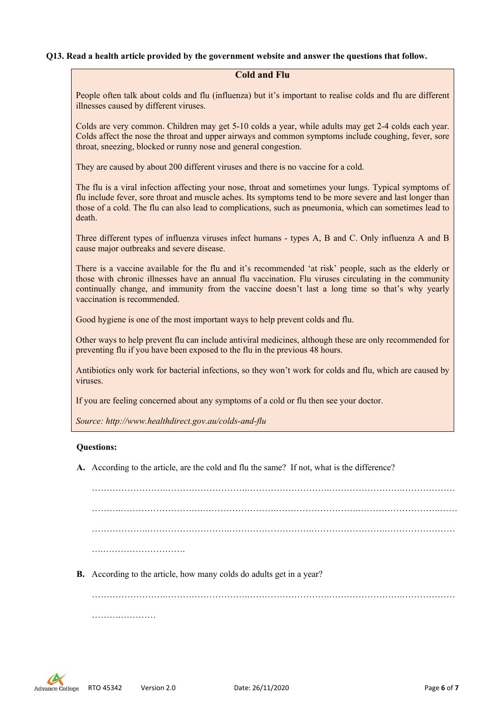#### **Q13. Read a health article provided by the government website and answer the questions that follow.**

#### **Cold and Flu**

People often talk about colds and flu (influenza) but it's important to realise colds and flu are different illnesses caused by different viruses.

Colds are very common. Children may get 5-10 colds a year, while adults may get 2-4 colds each year. Colds affect the nose the throat and upper airways and common symptoms include coughing, fever, sore throat, sneezing, blocked or runny nose and general congestion.

They are caused by about 200 different viruses and there is no vaccine for a cold.

The flu is a viral infection affecting your nose, throat and sometimes your lungs. Typical symptoms of flu include fever, sore throat and muscle aches. Its symptoms tend to be more severe and last longer than those of a cold. The flu can also lead to complications, such as pneumonia, which can sometimes lead to death.

Three different types of influenza viruses infect humans - types A, B and C. Only influenza A and B cause major outbreaks and severe disease.

There is a vaccine available for the flu and it's recommended 'at risk' people, such as the elderly or those with chronic illnesses have an annual flu vaccination. Flu viruses circulating in the community continually change, and immunity from the vaccine doesn't last a long time so that's why yearly vaccination is recommended.

Good hygiene is one of the most important ways to help prevent colds and flu.

Other ways to help prevent flu can include antiviral medicines, although these are only recommended for preventing flu if you have been exposed to the flu in the previous 48 hours.

Antibiotics only work for bacterial infections, so they won't work for colds and flu, which are caused by viruses.

If you are feeling concerned about any symptoms of a cold or flu then see your doctor.

*Source: http://www.healthdirect.gov.au/colds-and-flu*

#### **Questions:**

**A.** According to the article, are the cold and flu the same? If not, what is the difference?

…………………….……………………….……………………….…………………….……………… ……….……………………….…………………….……………………….……………………….…… ……………….……………………….……………………….…………………….…………………… ……………………………………

**B.** According to the article, how many colds do adults get in a year?

…………………….……………………….……………………….…………………….……………… ………………………